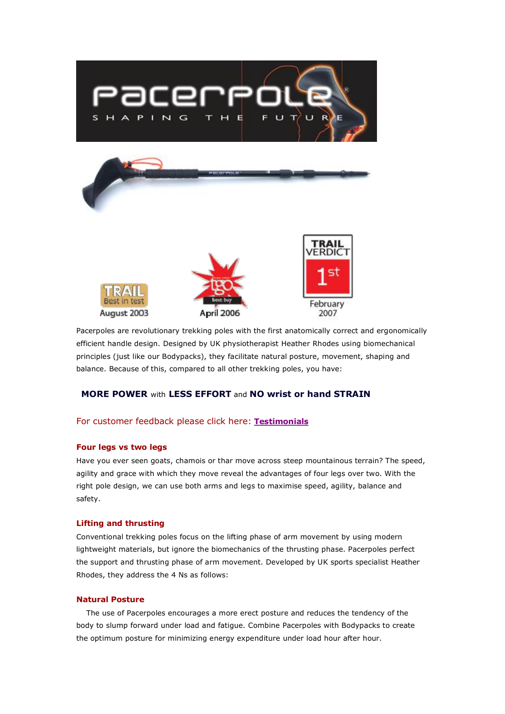

Pacerpoles are revolutionary trekking poles with the first anatomically correct and ergonomically efficient handle design. Designed by UK physiotherapist Heather Rhodes using biomechanical principles (just like our Bodypacks), they facilitate natural posture, movement, shaping and balance. Because of this, compared to all other trekking poles, you have:

# **MORE POWER** with **LESS EFFORT** and **NO wrist or hand STRAIN**

## For customer feedback please click here: **[Testimonials](http://www.aarnpacks.com/testimonials/index.html)**

#### **Four legs vs two legs**

Have you ever seen goats, chamois or thar move across steep mountainous terrain? The speed, agility and grace with which they move reveal the advantages of four legs over two. With the right pole design, we can use both arms and legs to maximise speed, agility, balance and safety.

## **Lifting and thrusting**

Conventional trekking poles focus on the lifting phase of arm movement by using modern lightweight materials, but ignore the biomechanics of the thrusting phase. Pacerpoles perfect the support and thrusting phase of arm movement. Developed by UK sports specialist Heather Rhodes, they address the 4 Ns as follows:

## **Natural Posture**

The use of Pacerpoles encourages a more erect posture and reduces the tendency of the body to slump forward under load and fatigue. Combine Pacerpoles with Bodypacks to create the optimum posture for minimizing energy expenditure under load hour after hour.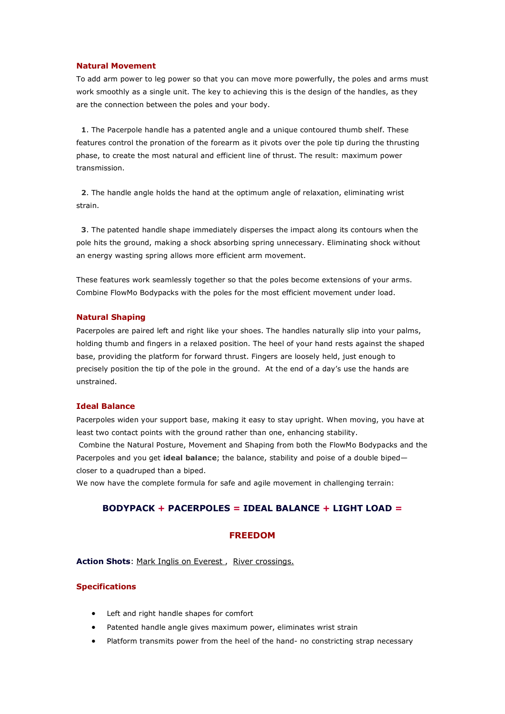#### **Natural Movement**

To add arm power to leg power so that you can move more powerfully, the poles and arms must work smoothly as a single unit. The key to achieving this is the design of the handles, as they are the connection between the poles and your body.

**1**. The Pacerpole handle has a patented angle and a unique contoured thumb shelf. These features control the pronation of the forearm as it pivots over the pole tip during the thrusting phase, to create the most natural and efficient line of thrust. The result: maximum power transmission.

**2**. The handle angle holds the hand at the optimum angle of relaxation, eliminating wrist strain.

**3**. The patented handle shape immediately disperses the impact along its contours when the pole hits the ground, making a shock absorbing spring unnecessary. Eliminating shock without an energy wasting spring allows more efficient arm movement.

These features work seamlessly together so that the poles become extensions of your arms. Combine FlowMo Bodypacks with the poles for the most efficient movement under load.

#### **Natural Shaping**

Pacerpoles are paired left and right like your shoes. The handles naturally slip into your palms, holding thumb and fingers in a relaxed position. The heel of your hand rests against the shaped base, providing the platform for forward thrust. Fingers are loosely held, just enough to precisely position the tip of the pole in the ground. At the end of a day's use the hands are unstrained.

## **Ideal Balance**

Pacerpoles widen your support base, making it easy to stay upright. When moving, you have at least two contact points with the ground rather than one, enhancing stability. Combine the Natural Posture, Movement and Shaping from both the FlowMo Bodypacks and the Pacerpoles and you get **ideal balance**; the balance, stability and poise of a double biped closer to a quadruped than a biped.

We now have the complete formula for safe and agile movement in challenging terrain:

## **BODYPACK + PACERPOLES = IDEAL BALANCE + LIGHT LOAD =**

## **FREEDOM**

Action Shots: Mark Inglis on Everest, [River crossings.](http://www.aarnpacks.com/products/images/river_crossings.jpg)

#### **Specifications**

- · Left and right handle shapes for comfort
- Patented handle angle gives maximum power, eliminates wrist strain
- Platform transmits power from the heel of the hand- no constricting strap necessary